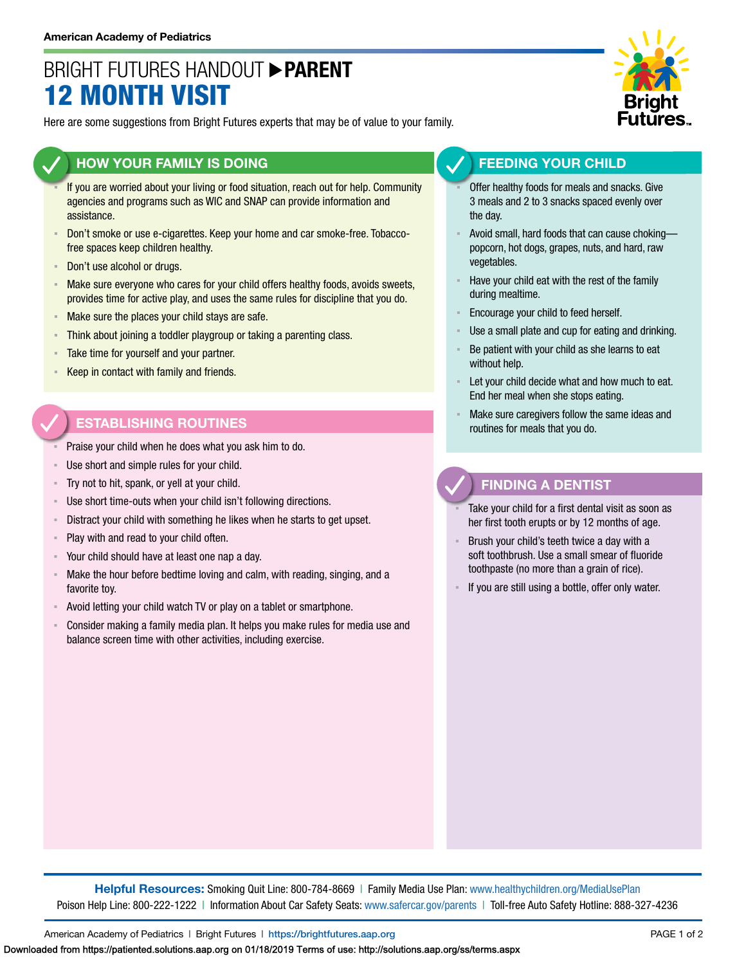# BRIGHT FUTURES HANDOUT **PARENT** 12 MONTH VISIT

Here are some suggestions from Bright Futures experts that may be of value to your family.

### **HOW YOUR FAMILY IS DOING**

- If you are worried about your living or food situation, reach out for help. Community agencies and programs such as WIC and SNAP can provide information and assistance.
- Don't smoke or use e-cigarettes. Keep your home and car smoke-free. Tobaccofree spaces keep children healthy.
- Don't use alcohol or drugs.
- **EXED Make sure everyone who cares for your child offers healthy foods, avoids sweets,** provides time for active play, and uses the same rules for discipline that you do.
- **EXED Make sure the places your child stays are safe.**
- **EXEDENT Think about joining a toddler playgroup or taking a parenting class.**
- **EXEC** Take time for yourself and your partner.
- Keep in contact with family and friends.

# **ESTABLISHING ROUTINES**

- Praise your child when he does what you ask him to do.
- Use short and simple rules for your child.
- Try not to hit, spank, or yell at your child.
- Use short time-outs when your child isn't following directions.
- Distract your child with something he likes when he starts to get upset.
- Play with and read to your child often.
- Your child should have at least one nap a day.
- Make the hour before bedtime loving and calm, with reading, singing, and a favorite toy.
- Avoid letting your child watch TV or play on a tablet or smartphone.
- Consider making a family media plan. It helps you make rules for media use and balance screen time with other activities, including exercise.



# **FEEDING YOUR CHILD**

- Offer healthy foods for meals and snacks. Give 3 meals and 2 to 3 snacks spaced evenly over the day.
- Avoid small, hard foods that can cause chokingpopcorn, hot dogs, grapes, nuts, and hard, raw vegetables.
- Have your child eat with the rest of the family during mealtime.
- Encourage your child to feed herself.
- Use a small plate and cup for eating and drinking.
- Be patient with your child as she learns to eat without help.
- Let your child decide what and how much to eat. End her meal when she stops eating.
- Make sure caregivers follow the same ideas and routines for meals that you do.

### **FINDING A DENTIST**

- Take your child for a first dental visit as soon as her first tooth erupts or by 12 months of age.
- Brush your child's teeth twice a day with a soft toothbrush. Use a small smear of fluoride toothpaste (no more than a grain of rice).
- If you are still using a bottle, offer only water.

**Helpful Resources:** Smoking Quit Line: 800-784-8669 | Family Media Use Plan: [www.healthychildren.org/MediaUsePlan](https://www.healthychildren.org/English/media/Pages/default.aspx)  Poison Help Line: 800-222-1222 | Information About Car Safety Seats: [www.safercar.gov/parents](https://www.nhtsa.gov/parents-and-caregivers) | Toll-free Auto Safety Hotline: 888-327-4236

American Academy of Pediatrics | Bright Futures | https://[brightfutures.aap.org](https://brightfutures.aap.org/Pages/default.aspx) PAGE 1 of 2

Downloaded from https://patiented.solutions.aap.org on 01/18/2019 Terms of use: http://solutions.aap.org/ss/terms.aspx